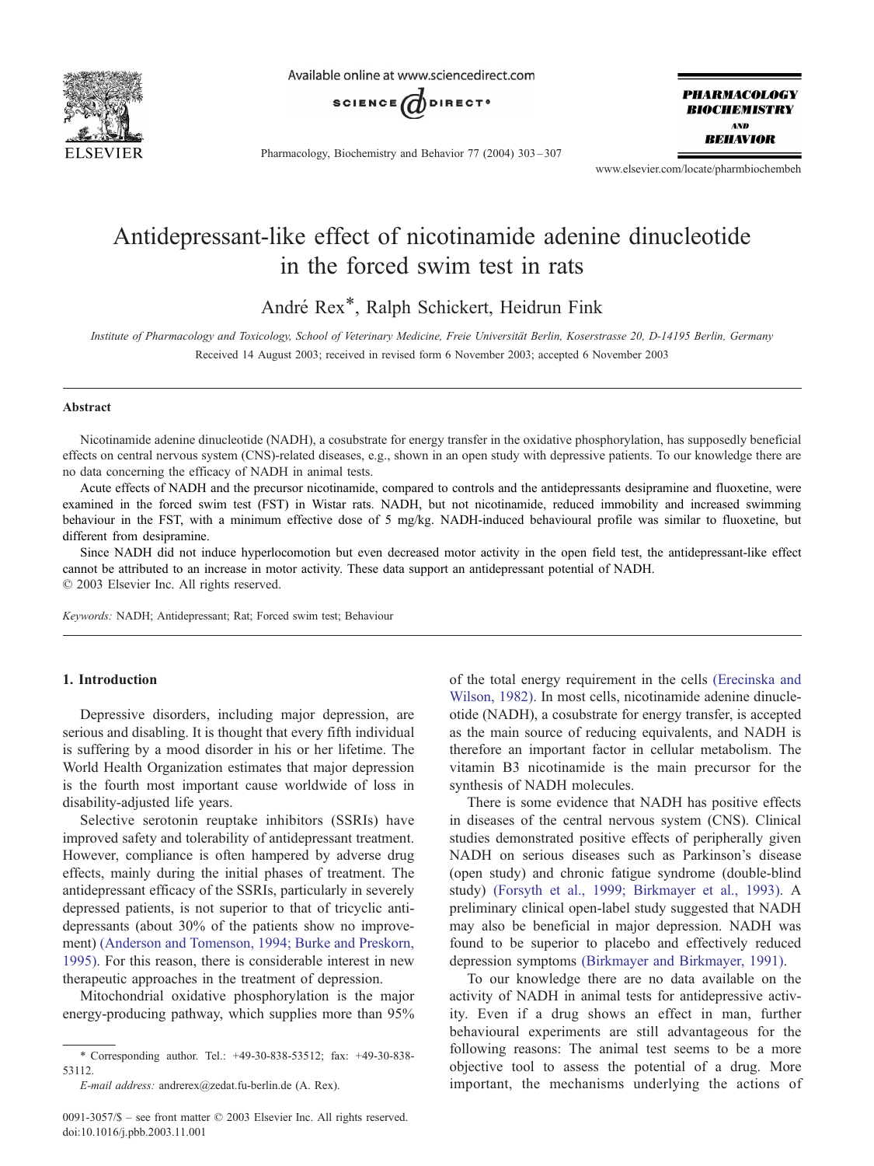

Available online at www.sciencedirect.com



Pharmacology, Biochemistry and Behavior 77 (2004) 303 – 307

**PHARMACOLOGY BIOCHEMISTRY AND BEHAVIOR** 

www.elsevier.com/locate/pharmbiochembeh

# Antidepressant-like effect of nicotinamide adenine dinucleotide in the forced swim test in rats

André Rex\*, Ralph Schickert, Heidrun Fink

Institute of Pharmacology and Toxicology, School of Veterinary Medicine, Freie Universität Berlin, Koserstrasse 20, D-14195 Berlin, Germany Received 14 August 2003; received in revised form 6 November 2003; accepted 6 November 2003

#### Abstract

Nicotinamide adenine dinucleotide (NADH), a cosubstrate for energy transfer in the oxidative phosphorylation, has supposedly beneficial effects on central nervous system (CNS)-related diseases, e.g., shown in an open study with depressive patients. To our knowledge there are no data concerning the efficacy of NADH in animal tests.

Acute effects of NADH and the precursor nicotinamide, compared to controls and the antidepressants desipramine and fluoxetine, were examined in the forced swim test (FST) in Wistar rats. NADH, but not nicotinamide, reduced immobility and increased swimming behaviour in the FST, with a minimum effective dose of 5 mg/kg. NADH-induced behavioural profile was similar to fluoxetine, but different from desipramine.

Since NADH did not induce hyperlocomotion but even decreased motor activity in the open field test, the antidepressant-like effect cannot be attributed to an increase in motor activity. These data support an antidepressant potential of NADH.  $© 2003 Elsevier Inc. All rights reserved.$ 

Keywords: NADH; Antidepressant; Rat; Forced swim test; Behaviour

## 1. Introduction

Depressive disorders, including major depression, are serious and disabling. It is thought that every fifth individual is suffering by a mood disorder in his or her lifetime. The World Health Organization estimates that major depression is the fourth most important cause worldwide of loss in disability-adjusted life years.

Selective serotonin reuptake inhibitors (SSRIs) have improved safety and tolerability of antidepressant treatment. However, compliance is often hampered by adverse drug effects, mainly during the initial phases of treatment. The antidepressant efficacy of the SSRIs, particularly in severely depressed patients, is not superior to that of tricyclic antidepressants (about 30% of the patients show no improvement) [\(Anderson and Tomenson, 1994; Burke and Preskorn,](#page-4-0) 1995). For this reason, there is considerable interest in new therapeutic approaches in the treatment of depression.

Mitochondrial oxidative phosphorylation is the major energy-producing pathway, which supplies more than 95% of the total energy requirement in the cells [\(Erecinska and](#page-4-0) Wilson, 1982). In most cells, nicotinamide adenine dinucleotide (NADH), a cosubstrate for energy transfer, is accepted as the main source of reducing equivalents, and NADH is therefore an important factor in cellular metabolism. The vitamin B3 nicotinamide is the main precursor for the synthesis of NADH molecules.

There is some evidence that NADH has positive effects in diseases of the central nervous system (CNS). Clinical studies demonstrated positive effects of peripherally given NADH on serious diseases such as Parkinson's disease (open study) and chronic fatigue syndrome (double-blind study) [\(Forsyth et al., 1999; Birkmayer et al., 1993\).](#page-4-0) A preliminary clinical open-label study suggested that NADH may also be beneficial in major depression. NADH was found to be superior to placebo and effectively reduced depression symptoms [\(Birkmayer and Birkmayer, 1991\).](#page-4-0)

To our knowledge there are no data available on the activity of NADH in animal tests for antidepressive activity. Even if a drug shows an effect in man, further behavioural experiments are still advantageous for the following reasons: The animal test seems to be a more objective tool to assess the potential of a drug. More important, the mechanisms underlying the actions of

<sup>\*</sup> Corresponding author. Tel.: +49-30-838-53512; fax: +49-30-838- 53112.

E-mail address: andrerex@zedat.fu-berlin.de (A. Rex).

<sup>0091-3057/\$ –</sup> see front matter © 2003 Elsevier Inc. All rights reserved. doi:10.1016/j.pbb.2003.11.001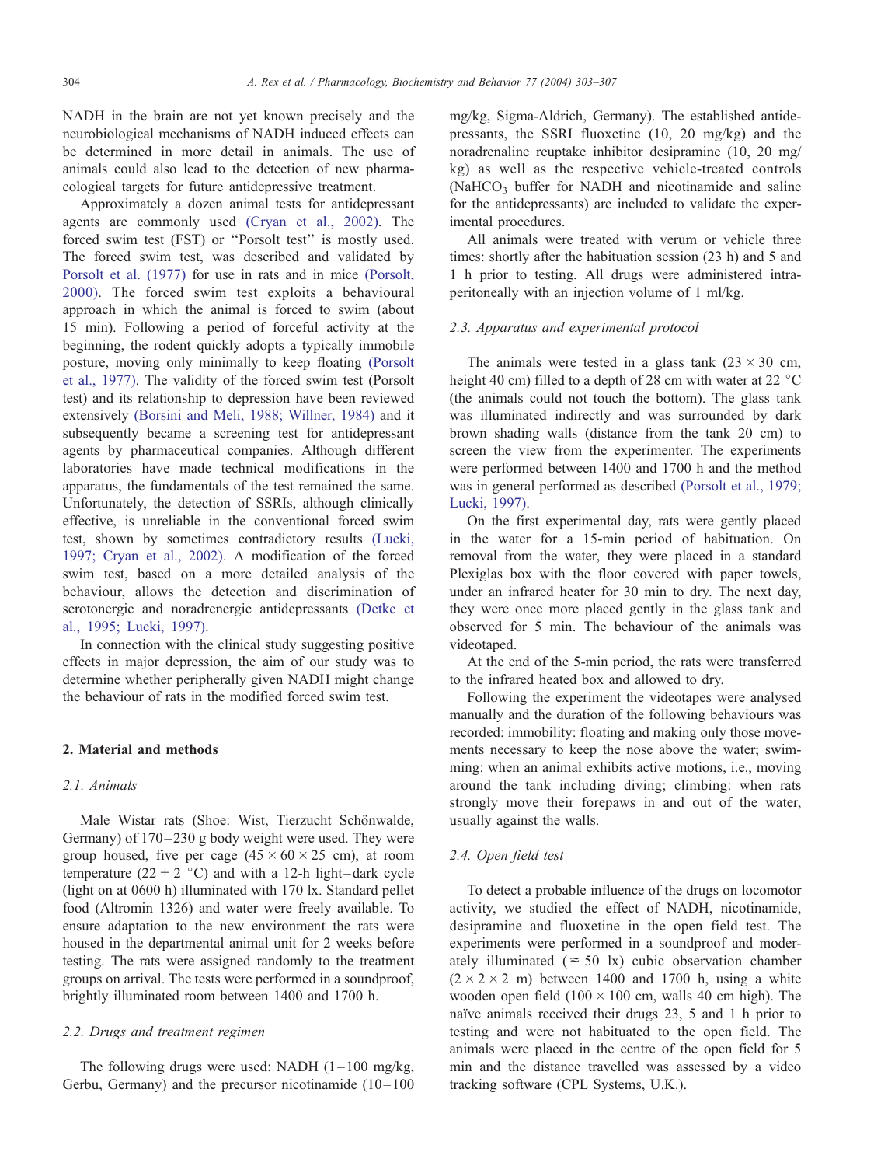NADH in the brain are not yet known precisely and the neurobiological mechanisms of NADH induced effects can be determined in more detail in animals. The use of animals could also lead to the detection of new pharmacological targets for future antidepressive treatment.

Approximately a dozen animal tests for antidepressant agents are commonly used [\(Cryan et al., 2002\).](#page-4-0) The forced swim test (FST) or ''Porsolt test'' is mostly used. The forced swim test, was described and validated by [Porsolt et al. \(1977\)](#page-4-0) for use in rats and in mice [\(Porsolt,](#page-4-0) 2000). The forced swim test exploits a behavioural approach in which the animal is forced to swim (about 15 min). Following a period of forceful activity at the beginning, the rodent quickly adopts a typically immobile posture, moving only minimally to keep floating [\(Porsolt](#page-4-0) et al., 1977). The validity of the forced swim test (Porsolt test) and its relationship to depression have been reviewed extensively [\(Borsini and Meli, 1988; Willner, 1984\)](#page-4-0) and it subsequently became a screening test for antidepressant agents by pharmaceutical companies. Although different laboratories have made technical modifications in the apparatus, the fundamentals of the test remained the same. Unfortunately, the detection of SSRIs, although clinically effective, is unreliable in the conventional forced swim test, shown by sometimes contradictory results [\(Lucki,](#page-4-0) 1997; Cryan et al., 2002). A modification of the forced swim test, based on a more detailed analysis of the behaviour, allows the detection and discrimination of serotonergic and noradrenergic antidepressants [\(Detke et](#page-4-0) al., 1995; Lucki, 1997).

In connection with the clinical study suggesting positive effects in major depression, the aim of our study was to determine whether peripherally given NADH might change the behaviour of rats in the modified forced swim test.

#### 2. Material and methods

#### 2.1. Animals

Male Wistar rats (Shoe: Wist, Tierzucht Schönwalde, Germany) of 170–230 g body weight were used. They were group housed, five per cage  $(45 \times 60 \times 25 \text{ cm})$ , at room temperature (22  $\pm$  2 °C) and with a 12-h light–dark cycle (light on at 0600 h) illuminated with 170 lx. Standard pellet food (Altromin 1326) and water were freely available. To ensure adaptation to the new environment the rats were housed in the departmental animal unit for 2 weeks before testing. The rats were assigned randomly to the treatment groups on arrival. The tests were performed in a soundproof, brightly illuminated room between 1400 and 1700 h.

### 2.2. Drugs and treatment regimen

The following drugs were used: NADH  $(1-100 \text{ mg/kg})$ , Gerbu, Germany) and the precursor nicotinamide  $(10-100)$  mg/kg, Sigma-Aldrich, Germany). The established antidepressants, the SSRI fluoxetine (10, 20 mg/kg) and the noradrenaline reuptake inhibitor desipramine (10, 20 mg/ kg) as well as the respective vehicle-treated controls (NaHCO<sub>3</sub> buffer for NADH and nicotinamide and saline for the antidepressants) are included to validate the experimental procedures.

All animals were treated with verum or vehicle three times: shortly after the habituation session (23 h) and 5 and 1 h prior to testing. All drugs were administered intraperitoneally with an injection volume of 1 ml/kg.

#### 2.3. Apparatus and experimental protocol

The animals were tested in a glass tank  $(23 \times 30 \text{ cm},$ height 40 cm) filled to a depth of 28 cm with water at 22  $^{\circ}$ C (the animals could not touch the bottom). The glass tank was illuminated indirectly and was surrounded by dark brown shading walls (distance from the tank 20 cm) to screen the view from the experimenter. The experiments were performed between 1400 and 1700 h and the method was in general performed as described [\(Porsolt et al., 1979;](#page-4-0) Lucki, 1997).

On the first experimental day, rats were gently placed in the water for a 15-min period of habituation. On removal from the water, they were placed in a standard Plexiglas box with the floor covered with paper towels, under an infrared heater for 30 min to dry. The next day, they were once more placed gently in the glass tank and observed for 5 min. The behaviour of the animals was videotaped.

At the end of the 5-min period, the rats were transferred to the infrared heated box and allowed to dry.

Following the experiment the videotapes were analysed manually and the duration of the following behaviours was recorded: immobility: floating and making only those movements necessary to keep the nose above the water; swimming: when an animal exhibits active motions, i.e., moving around the tank including diving; climbing: when rats strongly move their forepaws in and out of the water, usually against the walls.

#### 2.4. Open field test

To detect a probable influence of the drugs on locomotor activity, we studied the effect of NADH, nicotinamide, desipramine and fluoxetine in the open field test. The experiments were performed in a soundproof and moderately illuminated ( $\approx$  50 lx) cubic observation chamber  $(2 \times 2 \times 2$  m) between 1400 and 1700 h, using a white wooden open field  $(100 \times 100 \text{ cm}, \text{walls } 40 \text{ cm high})$ . The naïve animals received their drugs 23, 5 and 1 h prior to testing and were not habituated to the open field. The animals were placed in the centre of the open field for 5 min and the distance travelled was assessed by a video tracking software (CPL Systems, U.K.).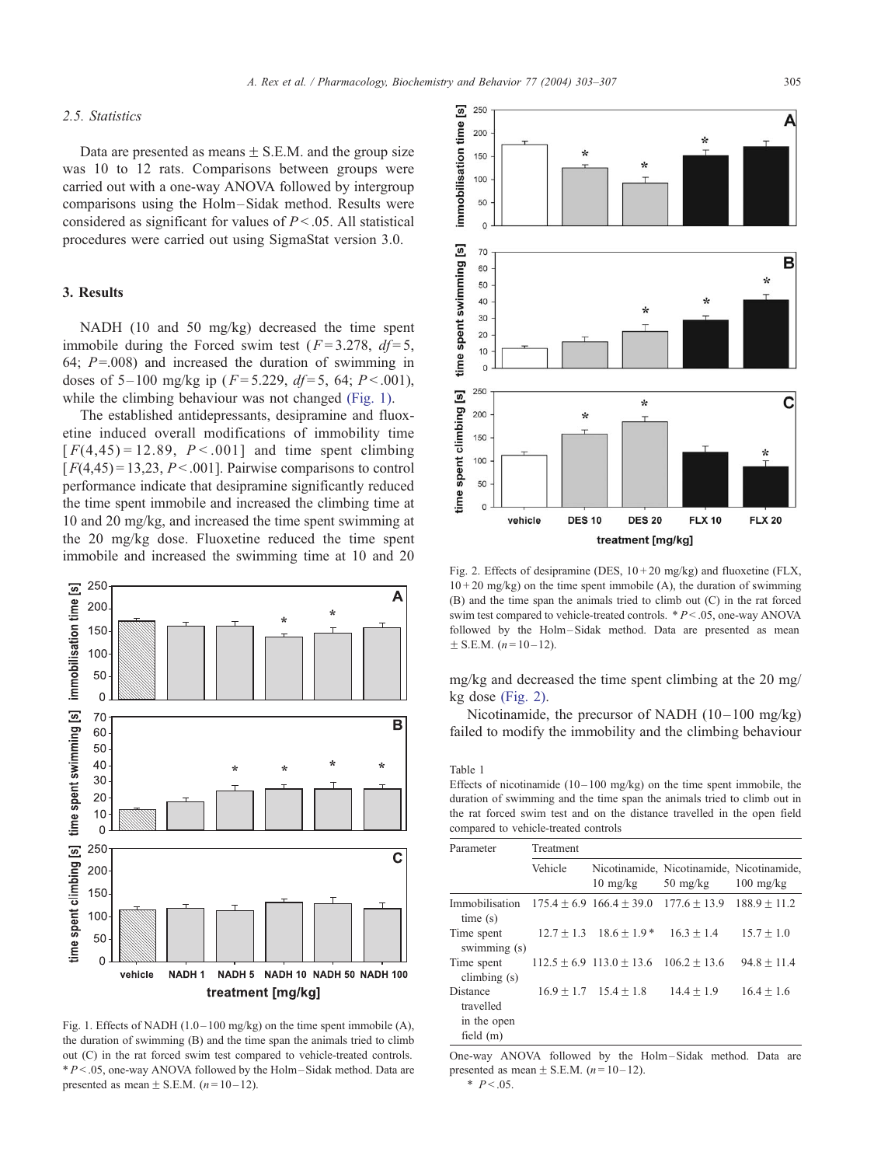$25<sub>C</sub>$ 

#### <span id="page-2-0"></span>2.5. Statistics

Data are presented as means  $\pm$  S.E.M. and the group size was 10 to 12 rats. Comparisons between groups were carried out with a one-way ANOVA followed by intergroup comparisons using the Holm-Sidak method. Results were considered as significant for values of  $P < .05$ . All statistical procedures were carried out using SigmaStat version 3.0.

## 3. Results

NADH (10 and 50 mg/kg) decreased the time spent immobile during the Forced swim test ( $F = 3.278$ ,  $df = 5$ , 64;  $P = .008$ ) and increased the duration of swimming in doses of 5–100 mg/kg ip ( $F = 5.229$ ,  $df = 5$ , 64;  $P < .001$ ), while the climbing behaviour was not changed (Fig. 1).

The established antidepressants, desipramine and fluoxetine induced overall modifications of immobility time  $[F(4,45) = 12.89, P < .001]$  and time spent climbing  $[F(4,45) = 13,23, P < .001]$ . Pairwise comparisons to control performance indicate that desipramine significantly reduced the time spent immobile and increased the climbing time at 10 and 20 mg/kg, and increased the time spent swimming at the 20 mg/kg dose. Fluoxetine reduced the time spent immobile and increased the swimming time at 10 and 20



Fig. 1. Effects of NADH  $(1.0-100 \text{ mg/kg})$  on the time spent immobile (A), the duration of swimming (B) and the time span the animals tried to climb out (C) in the rat forced swim test compared to vehicle-treated controls.  $*P < .05$ , one-way ANOVA followed by the Holm-Sidak method. Data are presented as mean  $\pm$  S.E.M. (n = 10 – 12).

<u>ვ.</u> A immobilisation time 200 150 100 50  $\overline{0}$ time spent swimming [s] 70 B 60 50  $40$ 30  $20$  $10$  $\mathfrak{g}$ 250 time spent climbing [s] ÷ C 200 ÷, 150 100 50  $\mathfrak{c}$ **DES 10 FLX 10** vehicle **DES 20 FLX 20** treatment [mg/kg]

Fig. 2. Effects of desipramine (DES,  $10 + 20$  mg/kg) and fluoxetine (FLX,  $10 + 20$  mg/kg) on the time spent immobile (A), the duration of swimming (B) and the time span the animals tried to climb out (C) in the rat forced swim test compared to vehicle-treated controls. \* P < .05, one-way ANOVA followed by the Holm-Sidak method. Data are presented as mean  $\pm$  S.E.M. (n = 10 – 12).

mg/kg and decreased the time spent climbing at the 20 mg/ kg dose (Fig. 2).

Nicotinamide, the precursor of NADH  $(10-100 \text{ mg/kg})$ failed to modify the immobility and the climbing behaviour

#### Table 1

Effects of nicotinamide  $(10-100 \text{ mg/kg})$  on the time spent immobile, the duration of swimming and the time span the animals tried to climb out in the rat forced swim test and on the distance travelled in the open field compared to vehicle-treated controls

| Parameter                                   | Treatment |                                             |                                                                 |                     |
|---------------------------------------------|-----------|---------------------------------------------|-----------------------------------------------------------------|---------------------|
|                                             | Vehicle   | $10 \text{ mg/kg}$                          | Nicotinamide, Nicotinamide, Nicotinamide,<br>$50 \text{ mg/kg}$ | $100 \text{ mg/kg}$ |
| Immobilisation<br>time(s)                   |           | $175.4 + 6.9$ $166.4 + 39.0$ $177.6 + 13.9$ |                                                                 | $188.9 \pm 11.2$    |
| Time spent<br>swimming (s)                  |           | $12.7 + 1.3$ $18.6 + 1.9*$                  | $16.3 + 1.4$                                                    | $15.7 \pm 1.0$      |
| Time spent<br>climbing $(s)$                |           | $112.5 \pm 6.9$ $113.0 \pm 13.6$            | $106.2 \pm 13.6$                                                | $94.8 + 11.4$       |
| <b>Distance</b><br>travelled<br>in the open |           | $16.9 + 1.7$ $15.4 + 1.8$                   | $14.4 + 1.9$                                                    | $16.4 + 1.6$        |
| field $(m)$                                 |           |                                             |                                                                 |                     |

One-way ANOVA followed by the Holm – Sidak method. Data are presented as mean  $\pm$  S.E.M. (*n* = 10 – 12).  $*$   $P < .05$ .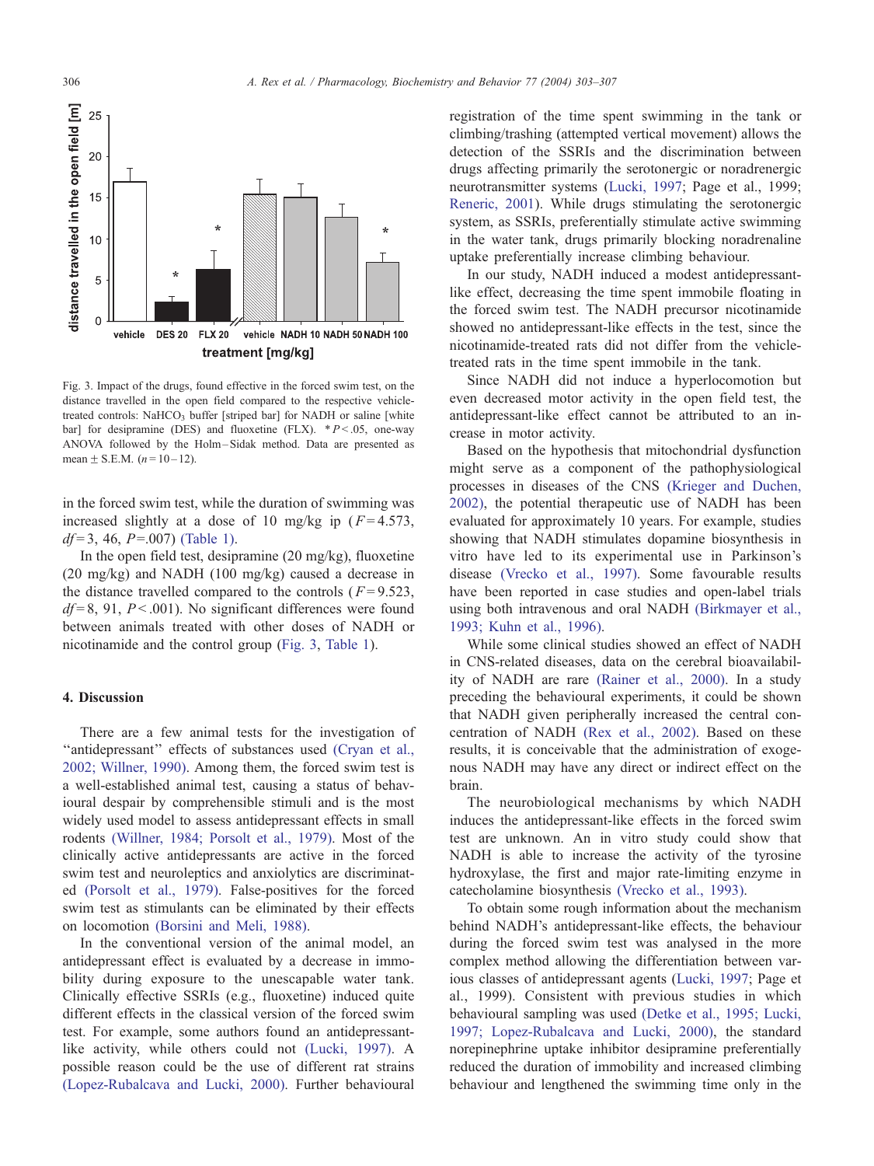

Fig. 3. Impact of the drugs, found effective in the forced swim test, on the distance travelled in the open field compared to the respective vehicletreated controls: NaHCO<sub>3</sub> buffer [striped bar] for NADH or saline [white bar] for desipramine (DES) and fluoxetine (FLX).  $*P < .05$ , one-way ANOVA followed by the Holm – Sidak method. Data are presented as mean  $\pm$  S.E.M. (*n* = 10 – 12).

in the forced swim test, while the duration of swimming was increased slightly at a dose of 10 mg/kg ip  $(F=4.573$ ,  $df = 3$ , 46, P=.007) [\(Table 1\).](#page-2-0)

In the open field test, desipramine (20 mg/kg), fluoxetine (20 mg/kg) and NADH (100 mg/kg) caused a decrease in the distance travelled compared to the controls ( $F = 9.523$ ,  $df = 8$ , 91, P < 0.001). No significant differences were found between animals treated with other doses of NADH or nicotinamide and the control group (Fig. 3, [Table 1\)](#page-2-0).

#### 4. Discussion

There are a few animal tests for the investigation of "antidepressant" effects of substances used [\(Cryan et al.,](#page-4-0) 2002; Willner, 1990). Among them, the forced swim test is a well-established animal test, causing a status of behavioural despair by comprehensible stimuli and is the most widely used model to assess antidepressant effects in small rodents [\(Willner, 1984; Porsolt et al., 1979\).](#page-4-0) Most of the clinically active antidepressants are active in the forced swim test and neuroleptics and anxiolytics are discriminated [\(Porsolt et al., 1979\).](#page-4-0) False-positives for the forced swim test as stimulants can be eliminated by their effects on locomotion [\(Borsini and Meli, 1988\).](#page-4-0)

In the conventional version of the animal model, an antidepressant effect is evaluated by a decrease in immobility during exposure to the unescapable water tank. Clinically effective SSRIs (e.g., fluoxetine) induced quite different effects in the classical version of the forced swim test. For example, some authors found an antidepressantlike activity, while others could not [\(Lucki, 1997\).](#page-4-0) A possible reason could be the use of different rat strains [\(Lopez-Rubalcava and Lucki, 2000\).](#page-4-0) Further behavioural registration of the time spent swimming in the tank or climbing/trashing (attempted vertical movement) allows the detection of the SSRIs and the discrimination between drugs affecting primarily the serotonergic or noradrenergic neurotransmitter systems ([Lucki, 1997;](#page-4-0) Page et al., 1999; [Reneric, 2001\)](#page-4-0). While drugs stimulating the serotonergic system, as SSRIs, preferentially stimulate active swimming in the water tank, drugs primarily blocking noradrenaline uptake preferentially increase climbing behaviour.

In our study, NADH induced a modest antidepressantlike effect, decreasing the time spent immobile floating in the forced swim test. The NADH precursor nicotinamide showed no antidepressant-like effects in the test, since the nicotinamide-treated rats did not differ from the vehicletreated rats in the time spent immobile in the tank.

Since NADH did not induce a hyperlocomotion but even decreased motor activity in the open field test, the antidepressant-like effect cannot be attributed to an increase in motor activity.

Based on the hypothesis that mitochondrial dysfunction might serve as a component of the pathophysiological processes in diseases of the CNS [\(Krieger and Duchen,](#page-4-0) 2002), the potential therapeutic use of NADH has been evaluated for approximately 10 years. For example, studies showing that NADH stimulates dopamine biosynthesis in vitro have led to its experimental use in Parkinson's disease [\(Vrecko et al., 1997\).](#page-4-0) Some favourable results have been reported in case studies and open-label trials using both intravenous and oral NADH [\(Birkmayer et al.,](#page-4-0) 1993; Kuhn et al., 1996).

While some clinical studies showed an effect of NADH in CNS-related diseases, data on the cerebral bioavailability of NADH are rare [\(Rainer et al., 2000\).](#page-4-0) In a study preceding the behavioural experiments, it could be shown that NADH given peripherally increased the central concentration of NADH [\(Rex et al., 2002\).](#page-4-0) Based on these results, it is conceivable that the administration of exogenous NADH may have any direct or indirect effect on the brain.

The neurobiological mechanisms by which NADH induces the antidepressant-like effects in the forced swim test are unknown. An in vitro study could show that NADH is able to increase the activity of the tyrosine hydroxylase, the first and major rate-limiting enzyme in catecholamine biosynthesis [\(Vrecko et al., 1993\).](#page-4-0)

To obtain some rough information about the mechanism behind NADH's antidepressant-like effects, the behaviour during the forced swim test was analysed in the more complex method allowing the differentiation between various classes of antidepressant agents ([Lucki, 1997;](#page-4-0) Page et al., 1999). Consistent with previous studies in which behavioural sampling was used [\(Detke et al., 1995; Lucki,](#page-4-0) 1997; Lopez-Rubalcava and Lucki, 2000), the standard norepinephrine uptake inhibitor desipramine preferentially reduced the duration of immobility and increased climbing behaviour and lengthened the swimming time only in the